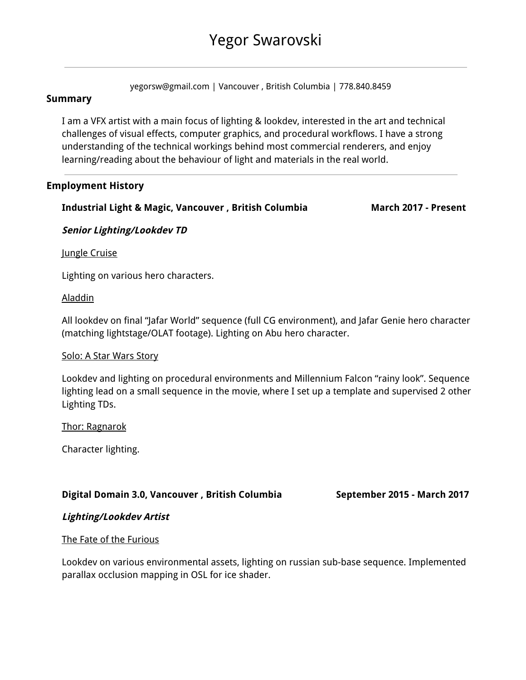# Yegor Swarovski

yegorsw@gmail.com | Vancouver , British Columbia | 778.840.8459

# **Summary**

I am a VFX artist with a main focus of lighting & lookdev, interested in the art and technical challenges of visual effects, computer graphics, and procedural workflows. I have a strong understanding of the technical workings behind most commercial renderers, and enjoy learning/reading about the behaviour of light and materials in the real world.

# **Employment History**

# **Industrial Light & Magic, Vancouver , British Columbia March 2017 - Present**

#### **Senior Lighting/Lookdev TD**

Jungle Cruise

Lighting on various hero characters.

#### Aladdin

All lookdev on final "Jafar World" sequence (full CG environment), and Jafar Genie hero character (matching lightstage/OLAT footage). Lighting on Abu hero character.

#### Solo: A Star Wars Story

Lookdev and lighting on procedural environments and Millennium Falcon "rainy look". Sequence lighting lead on a small sequence in the movie, where I set up a template and supervised 2 other Lighting TDs.

Thor: Ragnarok

Character lighting.

# **Digital Domain 3.0, Vancouver , British Columbia September 2015 - March 2017**

# **Lighting/Lookdev Artist**

#### The Fate of the Furious

Lookdev on various environmental assets, lighting on russian sub-base sequence. Implemented parallax occlusion mapping in OSL for ice shader.